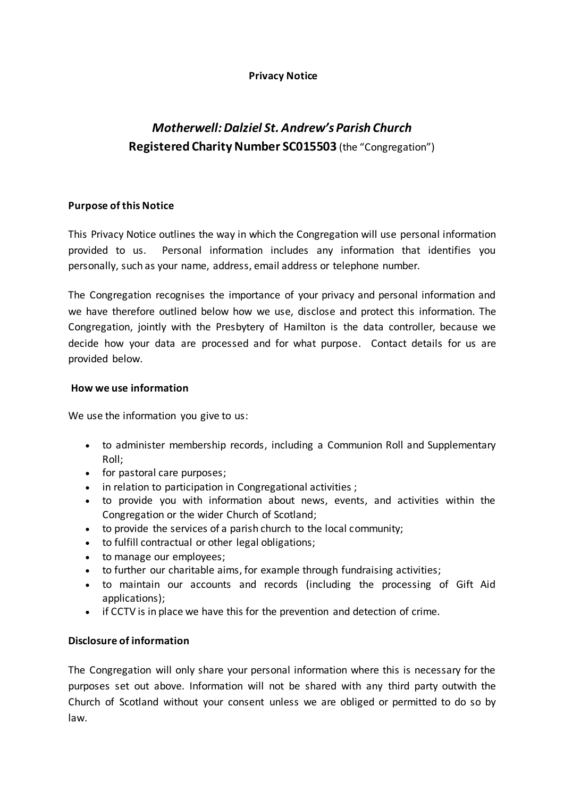## **Privacy Notice**

# *Motherwell: Dalziel St. Andrew's Parish Church* **Registered Charity Number SC015503** (the "Congregation")

## **Purpose of this Notice**

This Privacy Notice outlines the way in which the Congregation will use personal information provided to us. Personal information includes any information that identifies you personally, such as your name, address, email address or telephone number.

The Congregation recognises the importance of your privacy and personal information and we have therefore outlined below how we use, disclose and protect this information. The Congregation, jointly with the Presbytery of Hamilton is the data controller, because we decide how your data are processed and for what purpose. Contact details for us are provided below.

## **How we use information**

We use the information you give to us:

- to administer membership records, including a Communion Roll and Supplementary Roll;
- for pastoral care purposes;
- in relation to participation in Congregational activities ;
- to provide you with information about news, events, and activities within the Congregation or the wider Church of Scotland;
- to provide the services of a parish church to the local community;
- to fulfill contractual or other legal obligations;
- to manage our employees;
- to further our charitable aims, for example through fundraising activities;
- to maintain our accounts and records (including the processing of Gift Aid applications);
- if CCTV is in place we have this for the prevention and detection of crime.

## **Disclosure of information**

The Congregation will only share your personal information where this is necessary for the purposes set out above. Information will not be shared with any third party outwith the Church of Scotland without your consent unless we are obliged or permitted to do so by law.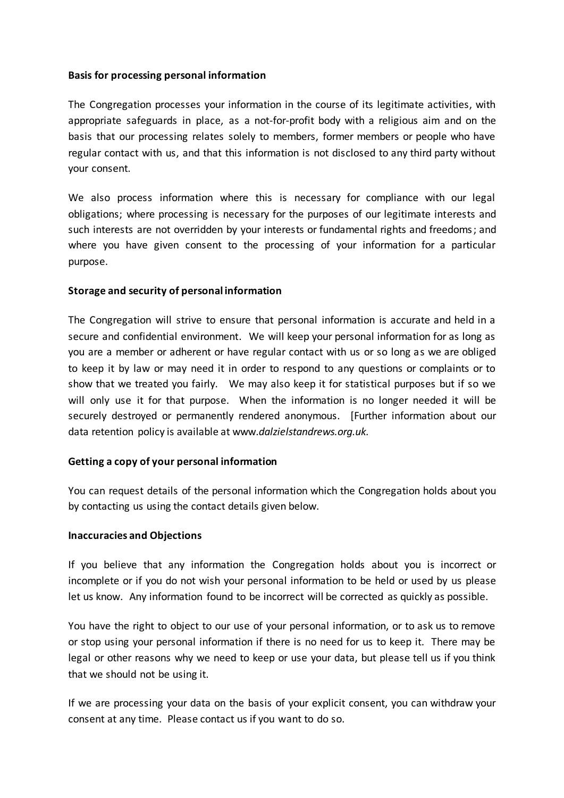#### **Basis for processing personal information**

The Congregation processes your information in the course of its legitimate activities, with appropriate safeguards in place, as a not-for-profit body with a religious aim and on the basis that our processing relates solely to members, former members or people who have regular contact with us, and that this information is not disclosed to any third party without your consent.

We also process information where this is necessary for compliance with our legal obligations; where processing is necessary for the purposes of our legitimate interests and such interests are not overridden by your interests or fundamental rights and freedoms; and where you have given consent to the processing of your information for a particular purpose.

## **Storage and security of personal information**

The Congregation will strive to ensure that personal information is accurate and held in a secure and confidential environment. We will keep your personal information for as long as you are a member or adherent or have regular contact with us or so long as we are obliged to keep it by law or may need it in order to respond to any questions or complaints or to show that we treated you fairly. We may also keep it for statistical purposes but if so we will only use it for that purpose. When the information is no longer needed it will be securely destroyed or permanently rendered anonymous. [Further information about our data retention policy is available at www.*dalzielstandrews.org.uk.*

#### **Getting a copy of your personal information**

You can request details of the personal information which the Congregation holds about you by contacting us using the contact details given below.

#### **Inaccuracies and Objections**

If you believe that any information the Congregation holds about you is incorrect or incomplete or if you do not wish your personal information to be held or used by us please let us know. Any information found to be incorrect will be corrected as quickly as possible.

You have the right to object to our use of your personal information, or to ask us to remove or stop using your personal information if there is no need for us to keep it. There may be legal or other reasons why we need to keep or use your data, but please tell us if you think that we should not be using it.

If we are processing your data on the basis of your explicit consent, you can withdraw your consent at any time. Please contact us if you want to do so.